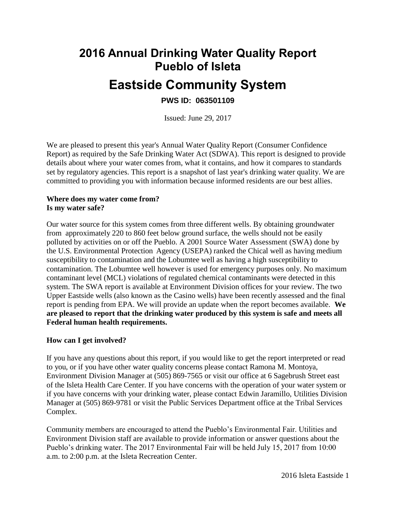# **2016 Annual Drinking Water Quality Report Pueblo of Isleta Eastside Community System**

## **PWS ID: 063501109**

Issued: June 29, 2017

We are pleased to present this year's Annual Water Quality Report (Consumer Confidence Report) as required by the Safe Drinking Water Act (SDWA). This report is designed to provide details about where your water comes from, what it contains, and how it compares to standards set by regulatory agencies. This report is a snapshot of last year's drinking water quality. We are committed to providing you with information because informed residents are our best allies.

#### **Where does my water come from? Is my water safe?**

Our water source for this system comes from three different wells. By obtaining groundwater from approximately 220 to 860 feet below ground surface, the wells should not be easily polluted by activities on or off the Pueblo. A 2001 Source Water Assessment (SWA) done by the U.S. Environmental Protection Agency (USEPA) ranked the Chical well as having medium susceptibility to contamination and the Lobumtee well as having a high susceptibility to contamination. The Lobumtee well however is used for emergency purposes only. No maximum contaminant level (MCL) violations of regulated chemical contaminants were detected in this system. The SWA report is available at Environment Division offices for your review. The two Upper Eastside wells (also known as the Casino wells) have been recently assessed and the final report is pending from EPA. We will provide an update when the report becomes available. **We are pleased to report that the drinking water produced by this system is safe and meets all Federal human health requirements.**

#### **How can I get involved?**

If you have any questions about this report, if you would like to get the report interpreted or read to you, or if you have other water quality concerns please contact Ramona M. Montoya, Environment Division Manager at (505) 869-7565 or visit our office at 6 Sagebrush Street east of the Isleta Health Care Center. If you have concerns with the operation of your water system or if you have concerns with your drinking water, please contact Edwin Jaramillo, Utilities Division Manager at (505) 869-9781 or visit the Public Services Department office at the Tribal Services Complex.

Community members are encouraged to attend the Pueblo's Environmental Fair. Utilities and Environment Division staff are available to provide information or answer questions about the Pueblo's drinking water. The 2017 Environmental Fair will be held July 15, 2017 from 10:00 a.m. to 2:00 p.m. at the Isleta Recreation Center.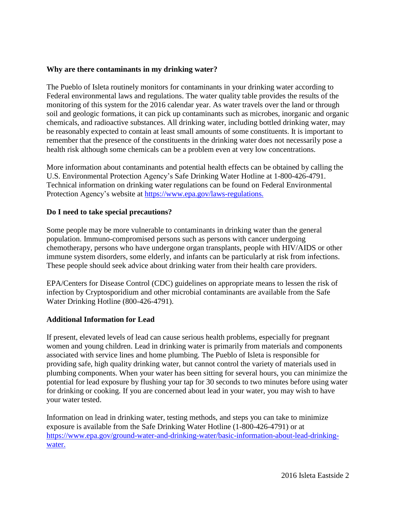#### **Why are there contaminants in my drinking water?**

The Pueblo of Isleta routinely monitors for contaminants in your drinking water according to Federal environmental laws and regulations. The water quality table provides the results of the monitoring of this system for the 2016 calendar year. As water travels over the land or through soil and geologic formations, it can pick up contaminants such as microbes, inorganic and organic chemicals, and radioactive substances. All drinking water, including bottled drinking water, may be reasonably expected to contain at least small amounts of some constituents. It is important to remember that the presence of the constituents in the drinking water does not necessarily pose a health risk although some chemicals can be a problem even at very low concentrations.

More information about contaminants and potential health effects can be obtained by calling the U.S. Environmental Protection Agency's Safe Drinking Water Hotline at 1-800-426-4791. Technical information on drinking water regulations can be found on Federal Environmental Protection Agency's website at https://www.epa.gov/laws-regulations.

#### **Do I need to take special precautions?**

Some people may be more vulnerable to contaminants in drinking water than the general population. Immuno-compromised persons such as persons with cancer undergoing chemotherapy, persons who have undergone organ transplants, people with HIV/AIDS or other immune system disorders, some elderly, and infants can be particularly at risk from infections. These people should seek advice about drinking water from their health care providers.

EPA/Centers for Disease Control (CDC) guidelines on appropriate means to lessen the risk of infection by Cryptosporidium and other microbial contaminants are available from the Safe Water Drinking Hotline (800-426-4791).

#### **Additional Information for Lead**

If present, elevated levels of lead can cause serious health problems, especially for pregnant women and young children. Lead in drinking water is primarily from materials and components associated with service lines and home plumbing. The Pueblo of Isleta is responsible for providing safe, high quality drinking water, but cannot control the variety of materials used in plumbing components. When your water has been sitting for several hours, you can minimize the potential for lead exposure by flushing your tap for 30 seconds to two minutes before using water for drinking or cooking. If you are concerned about lead in your water, you may wish to have your water tested.

Information on lead in drinking water, testing methods, and steps you can take to minimize exposure is available from the Safe Drinking Water Hotline (1-800-426-4791) or at [https://www.epa.gov/ground-water-and-drinking-water/basic-information-about-lead-drinking](https://www.epa.gov/ground-water-and-drinking-water/basic-information-about-lead-drinking-water)[water.](https://www.epa.gov/ground-water-and-drinking-water/basic-information-about-lead-drinking-water)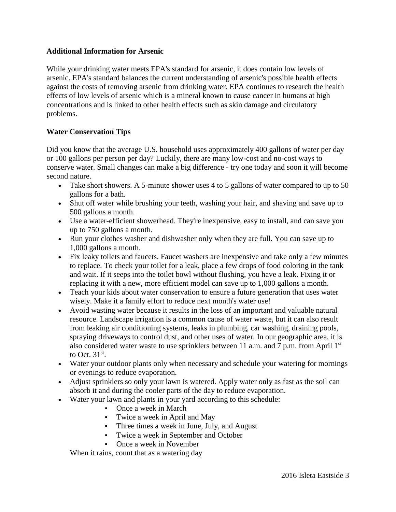#### **Additional Information for Arsenic**

While your drinking water meets EPA's standard for arsenic, it does contain low levels of arsenic. EPA's standard balances the current understanding of arsenic's possible health effects against the costs of removing arsenic from drinking water. EPA continues to research the health effects of low levels of arsenic which is a mineral known to cause cancer in humans at high concentrations and is linked to other health effects such as skin damage and circulatory problems.

#### **Water Conservation Tips**

Did you know that the average U.S. household uses approximately 400 gallons of water per day or 100 gallons per person per day? Luckily, there are many low-cost and no-cost ways to conserve water. Small changes can make a big difference - try one today and soon it will become second nature.

- Take short showers. A 5-minute shower uses 4 to 5 gallons of water compared to up to 50 gallons for a bath.
- Shut off water while brushing your teeth, washing your hair, and shaving and save up to 500 gallons a month.
- Use a water-efficient showerhead. They're inexpensive, easy to install, and can save you up to 750 gallons a month.
- Run your clothes washer and dishwasher only when they are full. You can save up to 1,000 gallons a month.
- Fix leaky toilets and faucets. Faucet washers are inexpensive and take only a few minutes to replace. To check your toilet for a leak, place a few drops of food coloring in the tank and wait. If it seeps into the toilet bowl without flushing, you have a leak. Fixing it or replacing it with a new, more efficient model can save up to 1,000 gallons a month.
- Teach your kids about water conservation to ensure a future generation that uses water wisely. Make it a family effort to reduce next month's water use!
- Avoid wasting water because it results in the loss of an important and valuable natural resource. Landscape irrigation is a common cause of water waste, but it can also result from leaking air conditioning systems, leaks in plumbing, car washing, draining pools, spraying driveways to control dust, and other uses of water. In our geographic area, it is also considered water waste to use sprinklers between 11 a.m. and 7 p.m. from April  $1<sup>st</sup>$ to Oct.  $31<sup>st</sup>$ .
- Water your outdoor plants only when necessary and schedule your watering for mornings or evenings to reduce evaporation.
- Adjust sprinklers so only your lawn is watered. Apply water only as fast as the soil can absorb it and during the cooler parts of the day to reduce evaporation.
- Water your lawn and plants in your yard according to this schedule:
	- Once a week in March
	- Twice a week in April and May
	- Three times a week in June, July, and August
	- Twice a week in September and October
	- Once a week in November

When it rains, count that as a watering day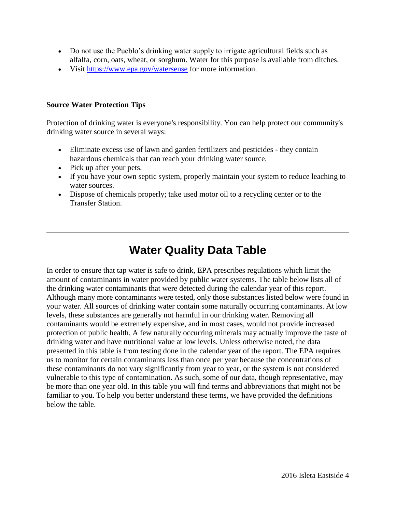- Do not use the Pueblo's drinking water supply to irrigate agricultural fields such as alfalfa, corn, oats, wheat, or sorghum. Water for this purpose is available from ditches.
- Visit<https://www.epa.gov/watersense> for more information.

#### **Source Water Protection Tips**

Protection of drinking water is everyone's responsibility. You can help protect our community's drinking water source in several ways:

- Eliminate excess use of lawn and garden fertilizers and pesticides they contain hazardous chemicals that can reach your drinking water source.
- Pick up after your pets.
- If you have your own septic system, properly maintain your system to reduce leaching to water sources.
- Dispose of chemicals properly; take used motor oil to a recycling center or to the Transfer Station.

## **Water Quality Data Table**

In order to ensure that tap water is safe to drink, EPA prescribes regulations which limit the amount of contaminants in water provided by public water systems. The table below lists all of the drinking water contaminants that were detected during the calendar year of this report. Although many more contaminants were tested, only those substances listed below were found in your water. All sources of drinking water contain some naturally occurring contaminants. At low levels, these substances are generally not harmful in our drinking water. Removing all contaminants would be extremely expensive, and in most cases, would not provide increased protection of public health. A few naturally occurring minerals may actually improve the taste of drinking water and have nutritional value at low levels. Unless otherwise noted, the data presented in this table is from testing done in the calendar year of the report. The EPA requires us to monitor for certain contaminants less than once per year because the concentrations of these contaminants do not vary significantly from year to year, or the system is not considered vulnerable to this type of contamination. As such, some of our data, though representative, may be more than one year old. In this table you will find terms and abbreviations that might not be familiar to you. To help you better understand these terms, we have provided the definitions below the table.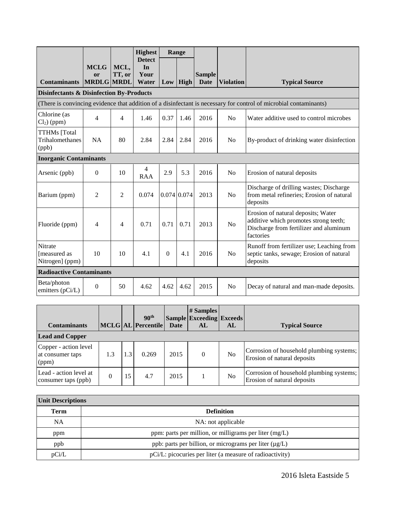|                                                                                                                   |                                        |                | <b>Highest</b>                       |                  | Range       |                              |                  |                                                                                                                                    |
|-------------------------------------------------------------------------------------------------------------------|----------------------------------------|----------------|--------------------------------------|------------------|-------------|------------------------------|------------------|------------------------------------------------------------------------------------------------------------------------------------|
| <b>Contaminants</b>                                                                                               | <b>MCLG</b><br>or<br><b>MRDLG MRDL</b> | MCL,<br>TT, or | <b>Detect</b><br>In<br>Your<br>Water |                  | $Low$ High  | <b>Sample</b><br><b>Date</b> | <b>Violation</b> | <b>Typical Source</b>                                                                                                              |
| <b>Disinfectants &amp; Disinfection By-Products</b>                                                               |                                        |                |                                      |                  |             |                              |                  |                                                                                                                                    |
| (There is convincing evidence that addition of a disinfectant is necessary for control of microbial contaminants) |                                        |                |                                      |                  |             |                              |                  |                                                                                                                                    |
| Chlorine (as<br>$Cl2$ ) (ppm)                                                                                     | 4                                      | $\overline{4}$ | 1.46                                 | 0.37             | 1.46        | 2016                         | N <sub>0</sub>   | Water additive used to control microbes                                                                                            |
| <b>TTHMs</b> [Total<br>Trihalomethanes<br>(ppb)                                                                   | <b>NA</b>                              | 80             | 2.84                                 | 2.84             | 2.84        | 2016                         | N <sub>0</sub>   | By-product of drinking water disinfection                                                                                          |
| <b>Inorganic Contaminants</b>                                                                                     |                                        |                |                                      |                  |             |                              |                  |                                                                                                                                    |
| Arsenic (ppb)                                                                                                     | $\Omega$                               | 10             | 4<br><b>RAA</b>                      | 2.9              | 5.3         | 2016                         | N <sub>0</sub>   | Erosion of natural deposits                                                                                                        |
| Barium (ppm)                                                                                                      | $\overline{2}$                         | $\overline{2}$ | 0.074                                |                  | 0.074 0.074 | 2013                         | No               | Discharge of drilling wastes; Discharge<br>from metal refineries; Erosion of natural<br>deposits                                   |
| Fluoride (ppm)                                                                                                    | 4                                      | 4              | 0.71                                 | 0.71             | 0.71        | 2013                         | N <sub>0</sub>   | Erosion of natural deposits; Water<br>additive which promotes strong teeth;<br>Discharge from fertilizer and aluminum<br>factories |
| <b>Nitrate</b><br>[measured as<br>Nitrogen] (ppm)                                                                 | 10                                     | 10             | 4.1                                  | $\boldsymbol{0}$ | 4.1         | 2016                         | N <sub>0</sub>   | Runoff from fertilizer use; Leaching from<br>septic tanks, sewage; Erosion of natural<br>deposits                                  |
| <b>Radioactive Contaminants</b>                                                                                   |                                        |                |                                      |                  |             |                              |                  |                                                                                                                                    |
| Beta/photon<br>emitters (pCi/L)                                                                                   | $\theta$                               | 50             | 4.62                                 | 4.62             | 4.62        | 2015                         | N <sub>0</sub>   | Decay of natural and man-made deposits.                                                                                            |

| <b>Contaminants</b><br><b>Lead and Copper</b>      |          |    | 90 <sup>th</sup><br>MCLG AL Percentile | Date | # Samples<br><b>Sample Exceeding Exceeds</b><br>AL | AL | <b>Typical Source</b>                                                   |
|----------------------------------------------------|----------|----|----------------------------------------|------|----------------------------------------------------|----|-------------------------------------------------------------------------|
| Copper - action level<br>at consumer taps<br>(ppm) |          |    | 0.269                                  | 2015 | $\theta$                                           | No | Corrosion of household plumbing systems;<br>Erosion of natural deposits |
| Lead - action level at<br>consumer taps (ppb)      | $\Omega$ | 15 | 4.7                                    | 2015 |                                                    | No | Corrosion of household plumbing systems;<br>Erosion of natural deposits |

| <b>Unit Descriptions</b> |                                                             |  |  |  |  |
|--------------------------|-------------------------------------------------------------|--|--|--|--|
| <b>Term</b>              | <b>Definition</b>                                           |  |  |  |  |
| NA                       | NA: not applicable                                          |  |  |  |  |
| ppm                      | ppm: parts per million, or milligrams per liter $(mg/L)$    |  |  |  |  |
| ppb                      | ppb: parts per billion, or micrograms per liter $(\mu g/L)$ |  |  |  |  |
| pCi/L                    | pCi/L: picocuries per liter (a measure of radioactivity)    |  |  |  |  |